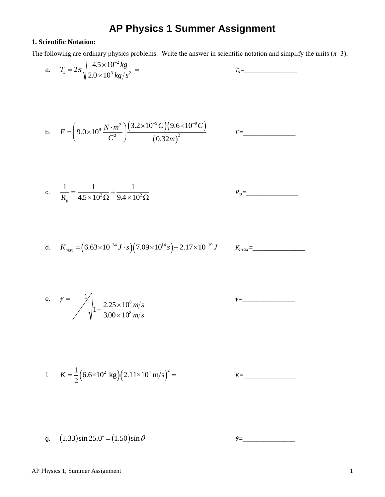# g.  $(1.33) \sin 25.0^\circ = (1.50) \sin \theta$

AP Physics 1, Summer Assignment 1

# **AP Physics 1 Summer Assignment**

## **1. Scientific Notation:**

The following are ordinary physics problems. Write the answer in scientific notation and simplify the units  $(\pi=3)$ .

a. 
$$
T_s = 2\pi \sqrt{\frac{4.5 \times 10^{-2} kg}{2.0 \times 10^3 kg/s^2}} =
$$
  
\nb.  $F = \left(9.0 \times 10^9 \frac{N \cdot m^2}{C^2}\right) \frac{(3.2 \times 10^{-9} C)(9.6 \times 10^{-9} C)}{(0.32 m)^2}$   $F =$ \_\_\_\_\_\_\_\_  
\nc.  $\frac{1}{R_p} = \frac{1}{4.5 \times 10^2 \Omega} + \frac{1}{9.4 \times 10^2 \Omega}$   $R_p =$ \_\_\_\_\_\_\_\_  
\nd.  $K_{max} = (6.63 \times 10^{-34} J \cdot s)(7.09 \times 10^{14} s) - 2.17 \times 10^{-19} J$   $K_{max} =$ \_\_\_\_\_\_\_\_  
\ne.  $\gamma =$   $\frac{1}{\sqrt{1 - \frac{2.25 \times 10^8 m/s}{3.00 \times 10^8 m/s}}}$   $\gamma =$ \_\_\_\_\_\_\_\_  
\nf.  $K = \frac{1}{2}(6.6 \times 10^2 \text{ kg})(2.11 \times 10^4 \text{ m/s})^2 =$ 

 $\theta =$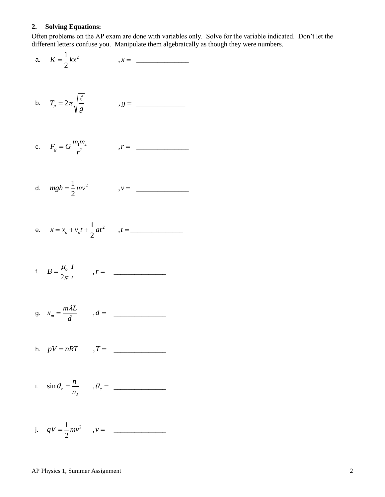## **2. Solving Equations:**

Often problems on the AP exam are done with variables only. Solve for the variable indicated. Don't let the different letters confuse you. Manipulate them algebraically as though they were numbers.

a. 
$$
K = \frac{1}{2}kx^2
$$
,  $x =$ 

b. 
$$
T_p = 2\pi \sqrt{\frac{\ell}{g}}
$$
 ,  $g =$ 

c. 
$$
F_g = G \frac{m_1 m_2}{r^2}
$$
  $r =$ 

d. 
$$
mgh = \frac{1}{2}mv^2
$$
  $v =$  \_\_\_\_\_\_\_

e. 
$$
x = x_o + v_o t + \frac{1}{2}at^2
$$
,  $t =$ 

f. 
$$
B = \frac{\mu_o}{2\pi} \frac{I}{r}
$$
,  $r =$ 

g. 
$$
x_m = \frac{m\lambda L}{d}
$$
  $, d =$ 

h. 
$$
pV = nRT
$$
  $T =$ 

i. 
$$
\sin \theta_c = \frac{n_1}{n_2}
$$
  $\theta_c =$ 

j. 
$$
qV = \frac{1}{2}mv^2
$$
,  $v =$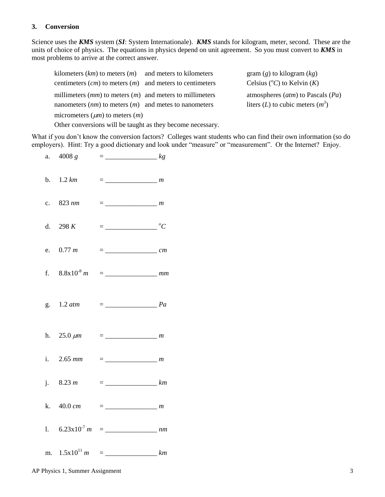### **3. Conversion**

Science uses the *KMS* system (*SI*: System Internationale). *KMS* stands for kilogram, meter, second. These are the units of choice of physics. The equations in physics depend on unit agreement. So you must convert to *KMS* in most problems to arrive at the correct answer.

| kilometers $(km)$ to meters $(m)$ and meters to kilometers   | gram $(g)$ to kilogram $(kg)$           |
|--------------------------------------------------------------|-----------------------------------------|
| centimeters $(cm)$ to meters $(m)$ and meters to centimeters | Celsius ( ${}^{\circ}C$ ) to Kelvin (K) |
| millimeters $(mm)$ to meters $(m)$ and meters to millimeters | atmospheres $(atm)$ to Pascals $(Pa)$   |
| nanometers $(nm)$ to meters $(m)$ and metes to nanometers    | liters (L) to cubic meters $(m^3)$      |
| micrometers $(\mu m)$ to meters $(m)$                        |                                         |
| Other conversions will be taught as they become necessary.   |                                         |

What if you don't know the conversion factors? Colleges want students who can find their own information (so do employers). Hint: Try a good dictionary and look under "measure" or "measurement". Or the Internet? Enjoy.

| b. $1.2 \, km$ |                              |  |
|----------------|------------------------------|--|
| c. 823 nm      |                              |  |
| d. 298 $K$     | $=\frac{\ }{\ }$ $^{\circ}C$ |  |
| e. $0.77 \; m$ |                              |  |
|                |                              |  |
|                |                              |  |
|                |                              |  |
|                |                              |  |
| j. 8.23 m      |                              |  |
| k. 40.0 cm     |                              |  |
|                |                              |  |
|                |                              |  |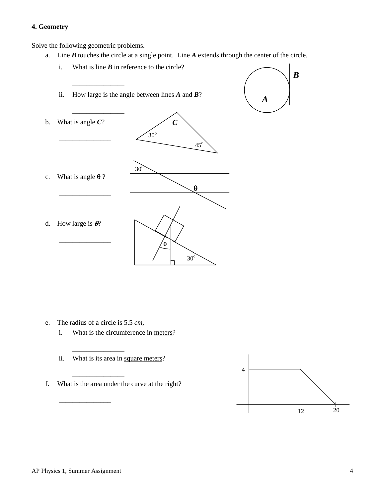### **4. Geometry**

Solve the following geometric problems.

a. Line *B* touches the circle at a single point. Line *A* extends through the center of the circle.



e. The radius of a circle is 5.5 *cm*,

\_\_\_\_\_\_\_\_\_\_\_\_\_\_\_

\_\_\_\_\_\_\_\_\_\_\_\_\_\_\_

\_\_\_\_\_\_\_\_\_\_\_\_\_\_\_

- i. What is the circumference in meters?
- ii. What is its area in square meters?
- f. What is the area under the curve at the right?

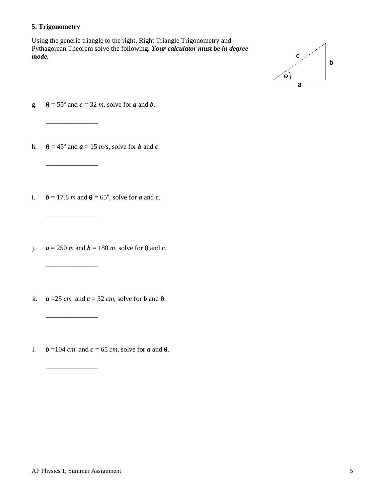### **5. Trigonometry**

Using the generic triangle to the right, Right Triangle Trigonometry and Pythagorean Theorem solve the following. *Your calculator must be in degree mode.*



g.  $\theta = 55^\circ$  and  $c = 32$  *m*, solve for *a* and *b*.

 $\frac{1}{\sqrt{2}}$ 

\_\_\_\_\_\_\_\_\_\_\_\_\_\_\_

\_\_\_\_\_\_\_\_\_\_\_\_\_\_\_

- h.  $\theta = 45^\circ$  and  $a = 15$  *m/s*, solve for *b* and *c*.
- i.  $\mathbf{b} = 17.8 \text{ m}$  and  $\mathbf{\theta} = 65^{\circ}$ , solve for *a* and *c*.
- j.  $a = 250$  *m* and  $b = 180$  *m*, solve for  $\theta$  and *c*.

\_\_\_\_\_\_\_\_\_\_\_\_\_\_\_

\_\_\_\_\_\_\_\_\_\_\_\_\_\_\_

\_\_\_\_\_\_\_\_\_\_\_\_\_\_\_

- k.  $a = 25$  *cm* and  $c = 32$  *cm*, solve for *b* and  $\theta$ .
- l.  $b = 104$  *cm* and  $c = 65$  *cm*, solve for *a* and  $\theta$ .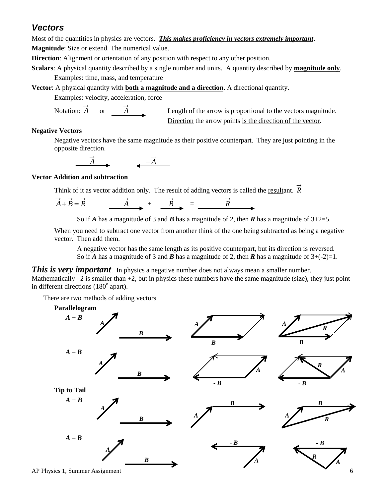# *Vectors*

Most of the quantities in physics are vectors. *This makes proficiency in vectors extremely important*. **Magnitude**: Size or extend. The numerical value.

**Direction**: Alignment or orientation of any position with respect to any other position.

**Scalars**: A physical quantity described by a single number and units. A quantity described by **magnitude only**. Examples: time, mass, and temperature

**Vector**: A physical quantity with **both a magnitude and a direction**. A directional quantity.

Examples: velocity, acceleration, force

Notation: *A* or *A*

Length of the arrow is proportional to the vectors magnitude. Direction the arrow points is the direction of the vector.

## **Negative Vectors**

Negative vectors have the same magnitude as their positive counterpart. They are just pointing in the opposite direction.

$$
\overrightarrow{A}
$$

## **Vector Addition and subtraction**

Think of it as vector addition only. The result of adding vectors is called the resultant. *R*

$$
\overrightarrow{A} + \overrightarrow{B} = \overrightarrow{R}
$$
 
$$
\overrightarrow{A} + \overrightarrow{B} = \overrightarrow{R}
$$

So if *A* has a magnitude of 3 and *B* has a magnitude of 2, then *R* has a magnitude of  $3+2=5$ .

When you need to subtract one vector from another think of the one being subtracted as being a negative vector. Then add them.

A negative vector has the same length as its positive counterpart, but its direction is reversed. So if *A* has a magnitude of 3 and *B* has a magnitude of 2, then *R* has a magnitude of  $3+(-2)=1$ .

**This is very important**. In physics a negative number does not always mean a smaller number.

Mathematically  $-2$  is smaller than  $+2$ , but in physics these numbers have the same magnitude (size), they just point in different directions  $(180^\circ$  apart).

There are two methods of adding vectors



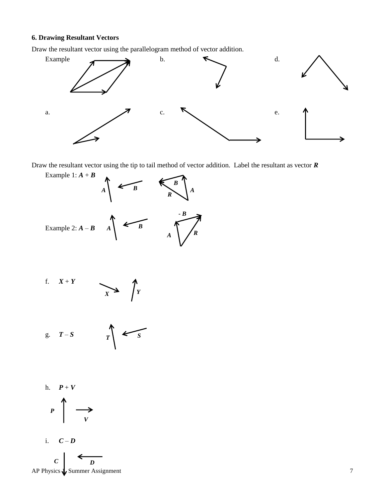#### **6. Drawing Resultant Vectors**

Draw the resultant vector using the parallelogram method of vector addition.



Draw the resultant vector using the tip to tail method of vector addition. Label the resultant as vector *R*



f. 
$$
X+Y
$$
  $\longrightarrow$   $\longrightarrow$   $\uparrow$   $Y$ 

g. 
$$
T-S
$$
  $T$   $\leftarrow$  S

$$
h. \quad P+V
$$



i.  $C - D$ 

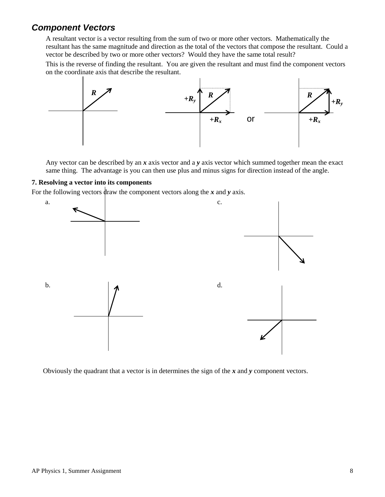# *Component Vectors*

A resultant vector is a vector resulting from the sum of two or more other vectors. Mathematically the resultant has the same magnitude and direction as the total of the vectors that compose the resultant. Could a vector be described by two or more other vectors? Would they have the same total result?

This is the reverse of finding the resultant. You are given the resultant and must find the component vectors on the coordinate axis that describe the resultant.



Any vector can be described by an *x* axis vector and a *y* axis vector which summed together mean the exact same thing. The advantage is you can then use plus and minus signs for direction instead of the angle.

### **7. Resolving a vector into its components**

For the following vectors draw the component vectors along the *x* and *y* axis.



Obviously the quadrant that a vector is in determines the sign of the *x* and *y* component vectors.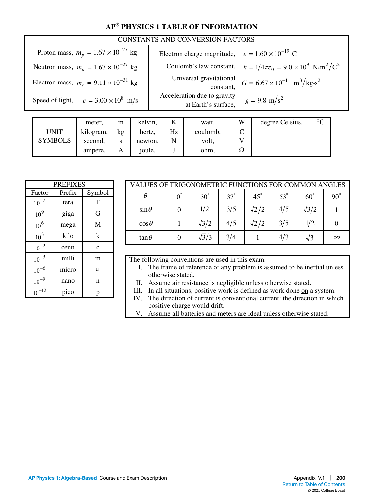# **AP® PHYSICS 1 TABLE OF INFORMATION**

| CONSTANTS AND CONVERSION FACTORS               |                                                         |                                                                                                        |  |  |  |  |
|------------------------------------------------|---------------------------------------------------------|--------------------------------------------------------------------------------------------------------|--|--|--|--|
| Proton mass, $m_p = 1.67 \times 10^{-27}$ kg   | Electron charge magnitude, $e = 1.60 \times 10^{-19}$ C |                                                                                                        |  |  |  |  |
| Neutron mass, $m_n = 1.67 \times 10^{-27}$ kg  |                                                         | Coulomb's law constant, $k = 1/4\pi\epsilon_0 = 9.0 \times 10^9 \text{ N} \cdot \text{m}^2/\text{C}^2$ |  |  |  |  |
| Electron mass, $m_e = 9.11 \times 10^{-31}$ kg |                                                         | Universal gravitational<br>constant, $G = 6.67 \times 10^{-11} \text{ m}^3/\text{kg} \cdot \text{s}^2$ |  |  |  |  |
| Speed of light, $c = 3.00 \times 10^8$ m/s     | Acceleration due to gravity<br>at Earth's surface,      | $g = 9.8$ m/s <sup>2</sup>                                                                             |  |  |  |  |

|                | meter.    | m  | kelvin, |    | watt,    | W  | degree Celsius, | $\circ$ |
|----------------|-----------|----|---------|----|----------|----|-----------------|---------|
| <b>UNIT</b>    | kilogram, | kg | hertz,  | Hz | coulomb, |    |                 |         |
| <b>SYMBOLS</b> | second,   | S  | newton, |    | volt,    |    |                 |         |
|                | ampere,   | Α  | joule,  |    | ohm,     | 24 |                 |         |

| VALUES OF TRIGONOMETRIC FUNCTIONS FOR COMMON ANGLES |  |              |            |              |            |              |              |
|-----------------------------------------------------|--|--------------|------------|--------------|------------|--------------|--------------|
| θ                                                   |  | $30^\circ$   | $37^\circ$ | $45^\circ$   | $53^\circ$ | $60^{\circ}$ | $90^{\circ}$ |
| $\sin\theta$                                        |  | 1/2          | 3/5        | $\sqrt{2}/2$ | 4/5        | $\sqrt{3}/2$ |              |
| $\cos\theta$                                        |  | $\sqrt{3}/2$ | 4/5        | $\sqrt{2}/2$ | 3/5        | 1/2          |              |
| $\tan\theta$                                        |  | $\sqrt{3}/3$ | 3/4        |              | 4/3        | $\sqrt{3}$   | $\infty$     |
|                                                     |  |              |            |              |            |              |              |

The following conventions are used in this exam.

- I. The frame of reference of any problem is assumed to be inertial unless otherwise stated.
- II. Assume air resistance is negligible unless otherwise stated.
- III. In all situations, positive work is defined as work done on a system.
- IV. The direction of current is conventional current: the direction in which positive charge would drift.
- V. Assume all batteries and meters are ideal unless otherwise stated.

| <b>PREFIXES</b> |        |             |  |  |  |
|-----------------|--------|-------------|--|--|--|
| Factor          | Prefix | Symbol      |  |  |  |
| $10^{12}$       | tera   | T           |  |  |  |
| 10 <sup>9</sup> | giga   | G           |  |  |  |
| 10 <sup>6</sup> | mega   | M           |  |  |  |
| 10 <sup>3</sup> | kilo   | k           |  |  |  |
| $10^{-2}$       | centi  | $\mathbf c$ |  |  |  |
| $10^{-3}$       | milli  | m           |  |  |  |
| $10^{-6}$       | micro  | μ           |  |  |  |
| $10^{-9}$       | nano   | n           |  |  |  |
| $10^{-12}$      | pico   | p           |  |  |  |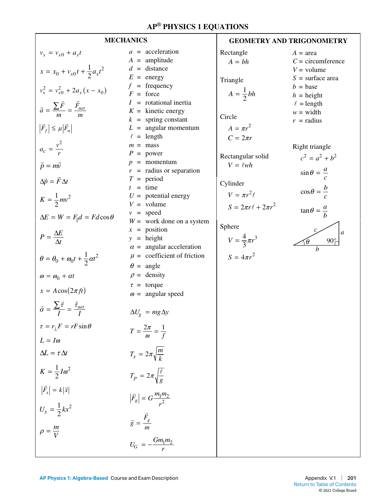|                                                                                                                                                                                                                                                                                                                                                                                                                                                                                                                                                                                                                                                                                                             | <b>MECHANICS</b>                                                                                                                                                                                                                                                                                                                                                                                                                                                                                                                                                                                                                                                                                                                                              | <b>GEOMETRY AND TRIGONOMETRY</b>                                                                                                                                                                                                                                |                                                                                                                                                                                                                                                                                                                                     |  |
|-------------------------------------------------------------------------------------------------------------------------------------------------------------------------------------------------------------------------------------------------------------------------------------------------------------------------------------------------------------------------------------------------------------------------------------------------------------------------------------------------------------------------------------------------------------------------------------------------------------------------------------------------------------------------------------------------------------|---------------------------------------------------------------------------------------------------------------------------------------------------------------------------------------------------------------------------------------------------------------------------------------------------------------------------------------------------------------------------------------------------------------------------------------------------------------------------------------------------------------------------------------------------------------------------------------------------------------------------------------------------------------------------------------------------------------------------------------------------------------|-----------------------------------------------------------------------------------------------------------------------------------------------------------------------------------------------------------------------------------------------------------------|-------------------------------------------------------------------------------------------------------------------------------------------------------------------------------------------------------------------------------------------------------------------------------------------------------------------------------------|--|
| $v_x = v_{x0} + a_x t$<br>$x = x_0 + v_{x0}t + \frac{1}{2}a_xt^2$<br>$v_x^2 = v_{x0}^2 + 2a_x(x - x_0)$<br>$\vec{a} = \frac{\sum \vec{F}}{m} = \frac{\vec{F}_{net}}{m}$<br>$ \vec{F}_f  \leq \mu  \vec{F}_n $<br>$a_c = \frac{v^2}{r}$<br>$\vec{p} = m\vec{v}$<br>$\Delta \vec{p} = \vec{F} \Delta t$<br>$K = \frac{1}{2}mv^2$<br>$\Delta E = W = F_{\parallel} d = F d \cos \theta$<br>$P = \frac{\Delta E}{\Delta t}$<br>$\theta = \theta_0 + \omega_0 t + \frac{1}{2} \alpha t^2$<br>$\omega = \omega_0 + \alpha t$<br>$x = A\cos(2\pi ft)$<br>$\vec{\alpha} = \frac{\sum \vec{\tau}}{I} = \frac{\vec{\tau}_{net}}{I}$<br>$\tau = r_1 F = rF \sin \theta$<br>$L = I\omega$<br>$\Delta L = \tau \Delta t$ | $a = acceleration$<br>$A =$ amplitude<br>$d =$ distance<br>$E = energy$<br>$f = \text{frequency}$<br>$F =$ force<br>$I =$ rotational inertia<br>$K =$ kinetic energy<br>$k =$ spring constant<br>$L =$ angular momentum<br>$\ell$ = length<br>$m =$ mass<br>$P = power$<br>$p =$ momentum<br>$r =$ radius or separation<br>$T = period$<br>$t = \text{time}$<br>$U =$ potential energy<br>$V =$ volume<br>$v = speed$<br>$W =$ work done on a system<br>$x = position$<br>$y = height$<br>$\alpha$ = angular acceleration<br>$\mu$ = coefficient of friction<br>$\theta$ = angle<br>$\rho =$ density<br>$\tau =$ torque<br>$\omega$ = angular speed<br>$\Delta U_g$ = mg $\Delta y$<br>$T=\frac{2\pi}{\omega}=\frac{1}{f}$<br>$T_s = 2\pi \sqrt{\frac{m}{k}}$ | Rectangle<br>$A = bh$<br>Triangle<br>$A=\frac{1}{2}bh$<br>Circle<br>$A = \pi r^2$<br>$C=2\pi r$<br>Rectangular solid<br>$V = \ell wh$<br>Cylinder<br>$V = \pi r^2 \ell$<br>$S = 2\pi r \ell + 2\pi r^2$<br>Sphere<br>$V = \frac{4}{3}\pi r^3$<br>$S = 4\pi r^2$ | $A = \text{area}$<br>$C =$ circumference<br>$V =$ volume<br>$S =$ surface area<br>$b = \text{base}$<br>$h =$ height<br>$\ell =$ length<br>$w = \text{width}$<br>$r =$ radius<br>Right triangle<br>$c^2 = a^2 + b^2$<br>$\sin\theta = \frac{a}{c}$<br>$\cos\theta = \frac{b}{c}$<br>$\tan \theta = \frac{a}{b}$<br>a<br>$90^{\circ}$ |  |
| $K=\frac{1}{2}I\omega^2$                                                                                                                                                                                                                                                                                                                                                                                                                                                                                                                                                                                                                                                                                    | $T_p = 2\pi \sqrt{\frac{\ell}{g}}$                                                                                                                                                                                                                                                                                                                                                                                                                                                                                                                                                                                                                                                                                                                            |                                                                                                                                                                                                                                                                 |                                                                                                                                                                                                                                                                                                                                     |  |
| $ \vec{F}_s  = k \vec{x} $<br>$U_s = \frac{1}{2}kx^2$<br>$\rho = \frac{m}{V}$                                                                                                                                                                                                                                                                                                                                                                                                                                                                                                                                                                                                                               | $ \vec{F}_g  = G \frac{m_1 m_2}{r^2}$<br>$\vec{g} = \frac{\vec{F}_g}{\sigma}$<br>$U_G = -\frac{Gm_1m_2}{r}$                                                                                                                                                                                                                                                                                                                                                                                                                                                                                                                                                                                                                                                   |                                                                                                                                                                                                                                                                 |                                                                                                                                                                                                                                                                                                                                     |  |